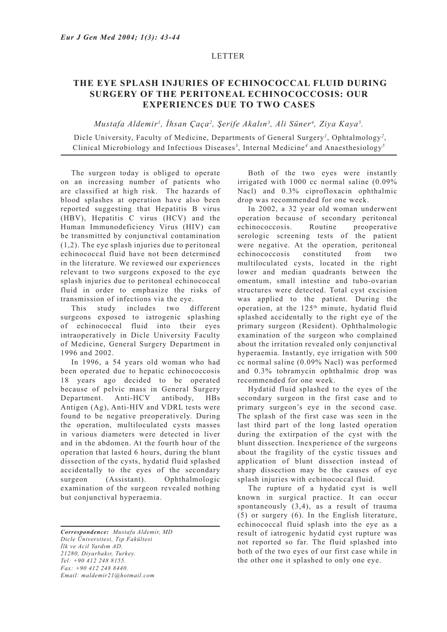## LETTER

## **THE EYE SPLASH INJURIES OF ECHINOCOCCAL FLUID DURING SURGERY OF THE PERITONEAL ECHINOCOCCOSIS: OUR EXPERIENCES DUE TO TWO CASES**

*Mustafa Aldemir1 , İhsan Çaça<sup>2</sup> , Şerife Akalın<sup>3</sup> , Ali Süner<sup>4</sup> , Ziya Kaya5 .*

Dicle University, Faculty of Medicine, Departments of General Surgery*<sup>1</sup>* , Ophtalmology*<sup>2</sup>* , Clinical Microbiology and Infectious Diseases*<sup>3</sup>* , Internal Medicine*<sup>4</sup>* and Anaesthesiology*<sup>5</sup>*

The surgeon today is obliged to operate on an increasing number of patients who are classified at high risk. The hazards of blood splashes at operation have also been reported suggesting that Hepatitis B virus (HBV), Hepatitis C virus (HCV) and the Human Immunodeficiency Virus (HIV) can be transmitted by conjunctival contamination (1,2). The eye splash injuries due to peritoneal echinococcal fluid have not been determined in the literature. We reviewed our experiences relevant to two surgeons exposed to the eye splash injuries due to peritoneal echinococcal fluid in order to emphasize the risks of transmission of infections via the eye.

This study includes two different surgeons exposed to iatrogenic splashing of echinococcal fluid into their eyes intraoperatively in Dicle University Faculty of Medicine, General Surgery Department in 1996 and 2002.

In 1996, a 54 years old woman who had been operated due to hepatic echinococcosis 18 years ago decided to be operated because of pelvic mass in General Surgery Department. Anti-HCV antibody, HBs Antigen (Ag), Anti-HIV and VDRL tests were found to be negative preoperatively. During the operation, multiloculated cysts masses in various diameters were detected in liver and in the abdomen. At the fourth hour of the operation that lasted 6 hours, during the blunt dissection of the cysts, hydatid fluid splashed accidentally to the eyes of the secondary surgeon (Assistant). Ophthalmologic examination of the surgeon revealed nothing but conjunctival hyperaemia.

*Correspondence: Mustafa Aldemir, MD Dicle Üniversitesi, Tıp Fakültesi İlk ve Acil Yardım AD. 21280, Diyarbakır, Turkey. Tel: +90 412 248 8155. Fax: +90 412 248 8440. Email: maldemir21@hotmail.com*

Both of the two eyes were instantly irrigated with 1000 cc normal saline (0.09% Nacl) and 0.3% ciprofloxacin ophthalmic drop was recommended for one week.

In 2002, a 32 year old woman underwent operation because of secondary peritoneal echinococcosis. Routine preoperative serologic screening tests of the patient were negative. At the operation, peritoneal echinococcosis constituted from two multiloculated cysts, located in the right lower and median quadrants between the omentum, small intestine and tubo-ovarian structures were detected. Total cyst excision was applied to the patient. During the operation, at the 125<sup>th</sup> minute, hydatid fluid splashed accidentally to the right eye of the primary surgeon (Resident). Ophthalmologic examination of the surgeon who complained about the irritation revealed only conjunctival hyperaemia. Instantly, eye irrigation with 500 cc normal saline (0.09% Nacl) was performed and 0.3% tobramycin ophthalmic drop was recommended for one week.

Hydatid fluid splashed to the eyes of the secondary surgeon in the first case and to primary surgeon's eye in the second case. The splash of the first case was seen in the last third part of the long lasted operation during the extirpation of the cyst with the blunt dissection. Inexperience of the surgeons about the fragility of the cystic tissues and application of blunt dissection instead of sharp dissection may be the causes of eye splash injuries with echinococcal fluid.

The rupture of a hydatid cyst is well known in surgical practice. It can occur spontaneously (3,4), as a result of trauma (5) or surgery (6). In the English literature, echinococcal fluid splash into the eye as a result of iatrogenic hydatid cyst rupture was not reported so far. The fluid splashed into both of the two eyes of our first case while in the other one it splashed to only one eye.